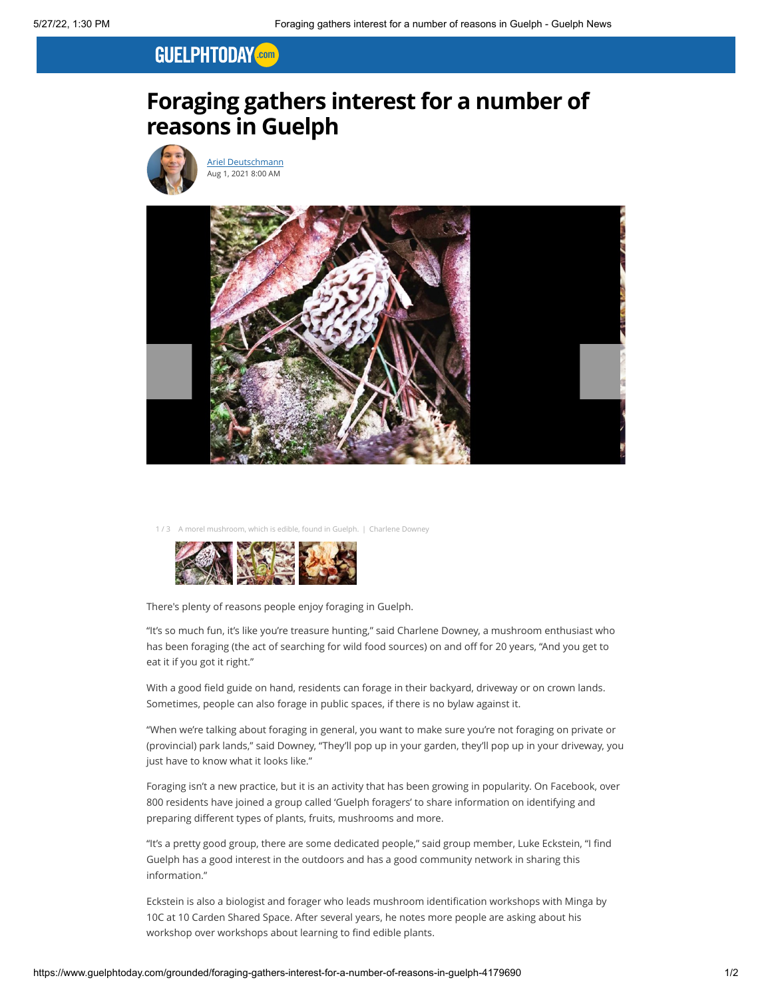## **GUELPHTODAY** Com

## **Foraging gathers interest for a number of reasons in Guelph**



[Ariel Deutschmann](https://www.guelphtoday.com/writers/ariel) Aug 1, 2021 8:00 AM



ich is edible, found in Guelph. | Charlene Downey



There's plenty of reasons people enjoy foraging in Guelph.

"It's so much fun, it's like you're treasure hunting," said Charlene Downey, a mushroom enthusiast who has been foraging (the act of searching for wild food sources) on and off for 20 years, "And you get to eat it if you got it right."

With a good field guide on hand, residents can forage in their backyard, driveway or on crown lands. Sometimes, people can also forage in public spaces, if there is no bylaw against it.

"When we're talking about foraging in general, you want to make sure you're not foraging on private or (provincial) park lands," said Downey, "They'll pop up in your garden, they'll pop up in your driveway, you just have to know what it looks like."

Foraging isn't a new practice, but it is an activity that has been growing in popularity. On Facebook, over 800 residents have joined a group called 'Guelph foragers' to share information on identifying and preparing different types of plants, fruits, mushrooms and more.

"It's a pretty good group, there are some dedicated people," said group member, Luke Eckstein, "I find Guelph has a good interest in the outdoors and has a good community network in sharing this information."

Eckstein is also a biologist and forager who leads mushroom identification workshops with Minga by 10C at 10 Carden Shared Space. After several years, he notes more people are asking about his workshop over workshops about learning to find edible plants.